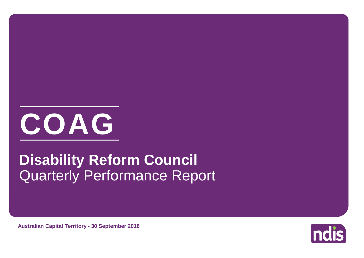

# Quarterly Performance Report **Disability Reform Council**

**Australian Capital Territory - 30 September 2018**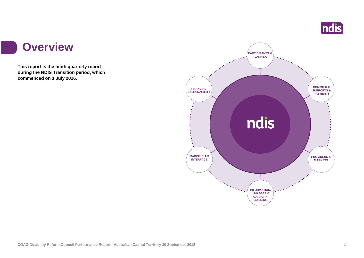

#### **Overview**

l s

**This report is the ninth quarterly report during the NDIS Transition period, which commenced on 1 July 2016.**

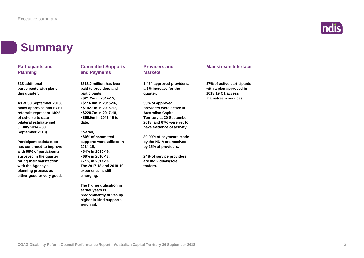

#### **Summary**

| <b>Participants and</b><br><b>Planning</b>                 | <b>Committed Supports</b><br>and Payments                          | <b>Providers and</b><br><b>Markets</b>                         | <b>Mainstream Interface</b>                                                |  |
|------------------------------------------------------------|--------------------------------------------------------------------|----------------------------------------------------------------|----------------------------------------------------------------------------|--|
| 318 additional<br>participants with plans<br>this quarter. | \$613.0 million has been<br>paid to providers and<br>participants: | 1,424 approved providers,<br>a 5% increase for the<br>quarter. | 87% of active participants<br>with a plan approved in<br>2018-19 Q1 access |  |
|                                                            | $\cdot$ \$21.2m in 2014-15,                                        |                                                                | mainstream services.                                                       |  |
| As at 30 September 2018,                                   | • \$116.0m in 2015-16,                                             | 33% of approved                                                |                                                                            |  |
| plans approved and ECEI                                    | $\cdot$ \$192.1m in 2016-17,                                       | providers were active in                                       |                                                                            |  |
| referrals represent 140%                                   | $\cdot$ \$228.7m in 2017-18,                                       | <b>Australian Capital</b>                                      |                                                                            |  |
| of scheme to date                                          | • \$55.0m in 2018-19 to                                            | <b>Territory at 30 September</b>                               |                                                                            |  |
| bilateral estimate met                                     | date.                                                              | 2018, and 67% were yet to                                      |                                                                            |  |
| (1 July 2014 - 30                                          |                                                                    | have evidence of activity.                                     |                                                                            |  |
| September 2018).                                           | Overall,<br>•80% of committed                                      | 80-90% of payments made                                        |                                                                            |  |
| <b>Participant satisfaction</b>                            | supports were utilised in                                          | by the NDIA are received                                       |                                                                            |  |
| has continued to improve                                   | 2014-15,                                                           | by 25% of providers.                                           |                                                                            |  |
| with 98% of participants                                   | • 84% in 2015-16,                                                  |                                                                |                                                                            |  |
| surveyed in the quarter                                    | • 68% in 2016-17,                                                  | 24% of service providers                                       |                                                                            |  |
| rating their satisfaction                                  | $\cdot$ 71% in 2017-18.                                            | are individuals/sole                                           |                                                                            |  |
| with the Agency's                                          | The 2017-18 and 2018-19                                            | traders.                                                       |                                                                            |  |
| planning process as<br>either good or very good.           | experience is still<br>emerging.                                   |                                                                |                                                                            |  |
|                                                            | The higher utilisation in                                          |                                                                |                                                                            |  |
|                                                            | earlier years is                                                   |                                                                |                                                                            |  |
|                                                            | predominantly driven by                                            |                                                                |                                                                            |  |
|                                                            | higher in-kind supports                                            |                                                                |                                                                            |  |
|                                                            | provided.                                                          |                                                                |                                                                            |  |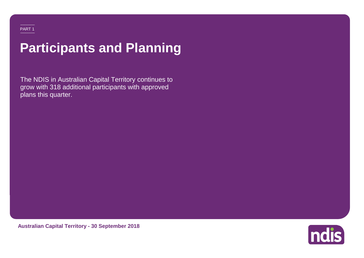# **Participants and Planning**

The NDIS in Australian Capital Territory continues to grow with 318 additional participants with approved plans this quarter.

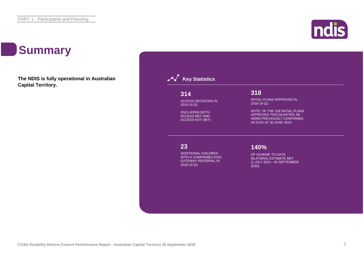# **Summary**

**The NDIS is fully operational in Australian Capital Territory.**



ndis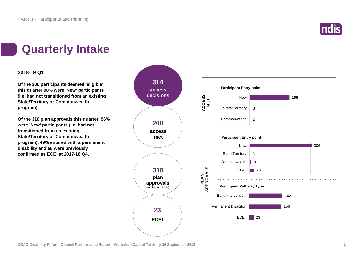

### **Quarterly Intake**

#### **2018-19 Q1**

**Of the 200 participants deemed 'eligible' this quarter 98% were 'New' participants (i.e. had not transitioned from an existing State/Territory or Commonwealth program).**

**Of the 318 plan approvals this quarter, 96% were 'New' participants (i.e. had not transitioned from an existing State/Territory or Commonwealth program), 49% entered with a permanent disability and 68 were previously confirmed as ECEI at 2017-18 Q4.**

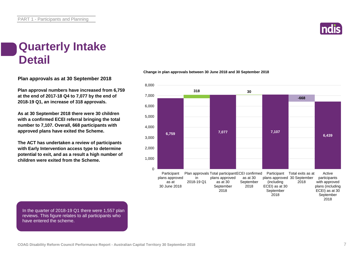

#### **Quarterly Intake Detail**

**Plan approvals as at 30 September 2018**

**Plan approval numbers have increased from 6,759 at the end of 2017-18 Q4 to 7,077 by the end of 2018-19 Q1, an increase of 318 approvals.**

**As at 30 September 2018 there were 30 children with a confirmed ECEI referral bringing the total number to 7,107. Overall, 668 participants with approved plans have exited the Scheme.**

**The ACT has undertaken a review of participants with Early Intervention access type to determine potential to exit, and as a result a high number of children were exited from the Scheme.**

#### **Change in plan approvals between 30 June 2018 and 30 September 2018**



In the quarter of 2018-19 Q1 there were 1,557 plan reviews. This figure relates to all participants who have entered the scheme.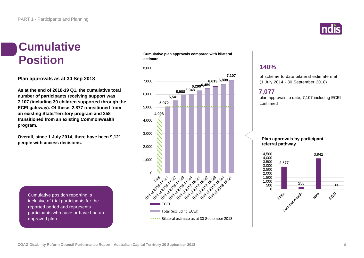

### **Cumulative Position**

**Plan approvals as at 30 Sep 2018**

**As at the end of 2018-19 Q1, the cumulative total number of participants receiving support was 7,107 (including 30 children supported through the ECEI gateway). Of these, 2,877 transitioned from an existing State/Territory program and 258 transitioned from an existing Commonwealth program.**

**Overall, since 1 July 2014, there have been 9,121 people with access decisions.**

Cumulative position reporting is inclusive of trial participants for the reported period and represents participants who have or have had an approved plan.

**Cumulative plan approvals compared with bilateral estimate**



#### **140%**

of scheme to date bilateral estimate met (1 July 2014 - 30 September 2018)

#### **7,077**

plan approvals to date; 7,107 including ECEI confirmed

#### **Plan approvals by participant referral pathway**

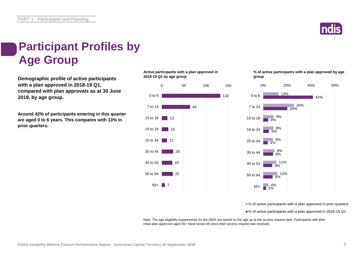

### **Participant Profiles by Age Group**

**Demographic profile of active participants with a plan approved in 2018-19 Q1, compared with plan approvals as at 30 June 2018, by age group.**

**Around 42% of participants entering in this quarter are aged 0 to 6 years. This compares with 13% in prior quarters.**

**Active participants with a plan approved in 2018-19 Q1 by age group**



**% of active participants with a plan approved by age group**



■% of active participants with a plan approved in prior quarters

■% of active participants with a plan approved in 2018-19 Q1

Note: The age eligibility requirements for the NDIS are based on the age as at the access request date. Participants with their initial plan approved aged 65+ have turned 65 since their access request was received.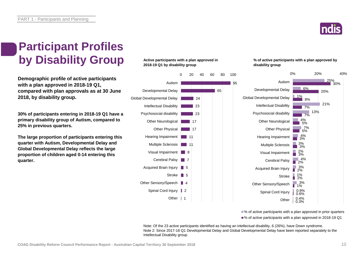

### **Participant Profiles by Disability Group**

**Demographic profile of active participants with a plan approved in 2018-19 Q1, compared with plan approvals as at 30 June 2018, by disability group.**

**30% of participants entering in 2018-19 Q1 have a primary disability group of Autism, compared to 25% in previous quarters.**

**The large proportion of participants entering this quarter with Autism, Developmental Delay and Global Developmental Delay reflects the large proportion of children aged 0-14 entering this quarter.**

#### **Active participants with a plan approved in 2018-19 Q1 by disability group**



**% of active participants with a plan approved by disability group**



■% of active participants with a plan approved in prior quarters

■% of active participants with a plan approved in 2018-19 Q1

Note: Of the 23 active participants identified as having an intellectual disability, 6 (26%), have Down syndrome. Note 2: Since 2017-18 Q1 Developmental Delay and Global Developmental Delay have been reported separately to the Intellectual Disability group.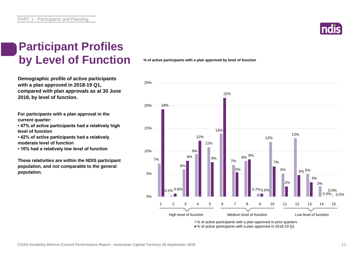

### **Participant Profiles by Level of Function**

**Demographic profile of active participants with a plan approved in 2018-19 Q1, compared with plan approvals as at 30 June 2018, by level of function.**

**For participants with a plan approval in the current quarter:** 

**• 47% of active participants had a relatively high level of function**

**• 42% of active participants had a relatively moderate level of function** 

**• 10% had a relatively low level of function**

**These relativities are within the NDIS participant population, and not comparable to the general population.**

**% of active participants with a plan approved by level of function**

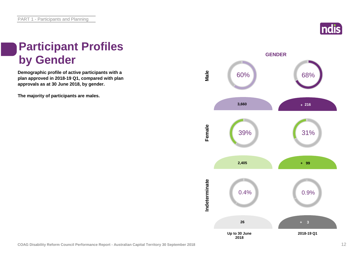

### **Participant Profiles by Gender**

**Demographic profile of active participants with a plan approved in 2018-19 Q1, compared with plan approvals as at 30 June 2018, by gender.**

**The majority of participants are males.**

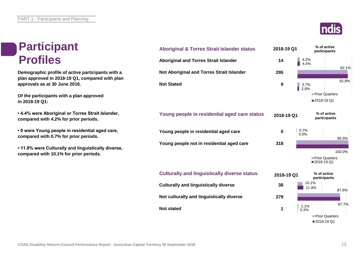### **Participant Profiles**

**Demographic profile of active participants with a plan approved in 2018-19 Q1, compared with plan approvals as at 30 June 2018.**

**Of the participants with a plan approved in 2018-19 Q1:**

**• 4.4% were Aboriginal or Torres Strait Islander, compared with 4.2% for prior periods.**

**• 0 were Young people in residential aged care, compared with 0.7% for prior periods.**

**• 11.9% were Culturally and linguistically diverse, compared with 10.1% for prior periods.**





92.1%

92.8%

99.3%

100.0%

87.8%

87.7%

■2018-19 Q1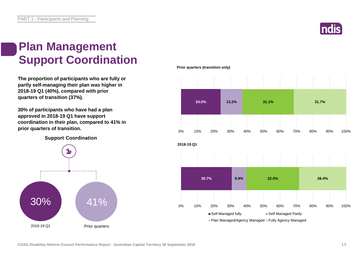

### **Plan Management Support Coordination**

**The proportion of participants who are fully or partly self-managing their plan was higher in 2018-19 Q1 (40%), compared with prior quarters of transition (37%).** 

**30% of participants who have had a plan approved in 2018-19 Q1 have support coordination in their plan, compared to 41% in prior quarters of transition.**

**Support Coordination**



**Prior quarters (transition only)**

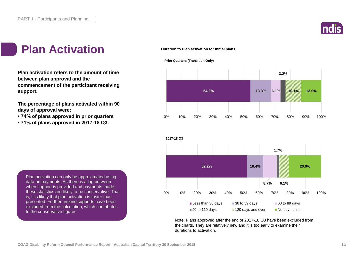

### Plan Activation **Activation**

**Plan activation refers to the amount of time between plan approval and the commencement of the participant receiving support.**

**The percentage of plans activated within 90 days of approval were:** 

- **74% of plans approved in prior quarters**
- **71% of plans approved in 2017-18 Q3.**







Note: Plans approved after the end of 2017-18 Q3 have been excluded from the charts. They are relatively new and it is too early to examine their durations to activation.

Plan activation can only be approximated using data on payments. As there is a lag between when support is provided and payments made, these statistics are likely to be conservative. That is, it is likely that plan activation is faster than presented. Further, in-kind supports have been excluded from the calculation, which contributes to the conservative figures.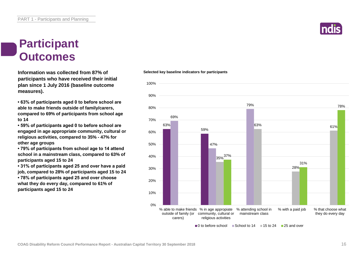#### **Participant Outcomes**

**Selected key baseline indicators for participants Information was collected from 87% of participants who have received their initial plan since 1 July 2016 (baseline outcome measures).**

**• 63% of participants aged 0 to before school are able to make friends outside of family/carers, compared to 69% of participants from school age to 14**

**• 59% of participants aged 0 to before school are engaged in age appropriate community, cultural or religious activities, compared to 35% - 47% for other age groups**

**• 79% of participants from school age to 14 attend school in a mainstream class, compared to 63% of participants aged 15 to 24**

**• 31% of participants aged 25 and over have a paid job, compared to 28% of participants aged 15 to 24 • 78% of participants aged 25 and over choose what they do every day, compared to 61% of participants aged 15 to 24**

#### 63% 59% 69% 47% 79% 35% 37% 63% 28% 61% 31% 78% 0% 10% 20% 30% 40% 50% 60% 70% 80% 90% % able to make friends % in age appropiate % attending school in outside of family (or community, cultural or carers) religious activities mainstream class % with a paid job % that choose what they do every day

 $\Box$  0 to before school  $\Box$  School to 14  $\Box$  15 to 24  $\Box$  25 and over



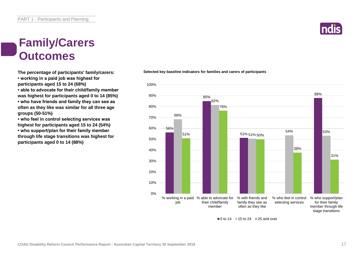### **Family/Carers Outcomes**

**The percentage of participants' family/carers:**

**• working in a paid job was highest for participants aged 15 to 24 (68%)**

**• able to advocate for their child/family member** 

**was highest for participants aged 0 to 14 (85%) • who have friends and family they can see as often as they like was similar for all three age groups (50-51%)**

**• who feel in control selecting services was highest for participants aged 15 to 24 (54%) • who support/plan for their family member through life stage transitions was highest for participants aged 0 to 14 (88%)**

#### **Selected key baseline indicators for families and carers of participants**



 $\blacksquare$ 0 to 14  $\blacksquare$  15 to 24  $\blacksquare$  25 and over

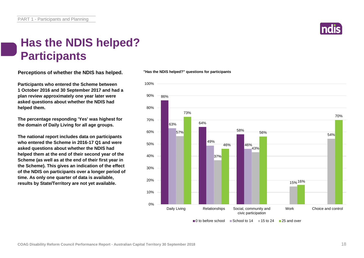

#### **Has the NDIS helped? Participants**

**Perceptions of whether the NDIS has helped.**

**Participants who entered the Scheme between 1 October 2016 and 30 September 2017 and had a plan review approximately one year later were asked questions about whether the NDIS had helped them.**

**The percentage responding 'Yes' was highest for the domain of Daily Living for all age groups.** 

**The national report includes data on participants who entered the Scheme in 2016-17 Q1 and were asked questions about whether the NDIS had helped them at the end of their second year of the Scheme (as well as at the end of their first year in the Scheme). This gives an indication of the effect of the NDIS on participants over a longer period of time. As only one quarter of data is available, results by State/Territory are not yet available.**

#### **"Has the NDIS helped?" questions for participants**

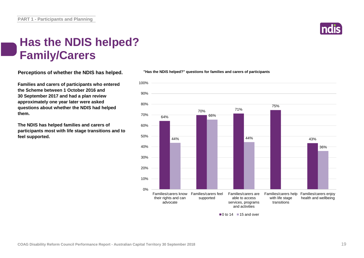### **Has the NDIS helped? Family/Carers**

**Perceptions of whether the NDIS has helped.**

**Families and carers of participants who entered the Scheme between 1 October 2016 and 30 September 2017 and had a plan review approximately one year later were asked questions about whether the NDIS had helped them.**

**The NDIS has helped families and carers of participants most with life stage transitions and to feel supported.**



**"Has the NDIS helped?" questions for families and carers of participants**



 $\blacksquare$ 0 to 14  $\blacksquare$  15 and over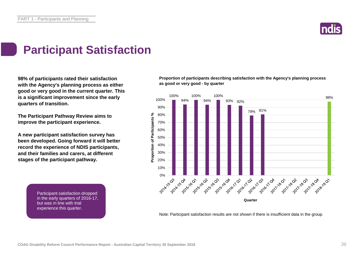

### **Participant Satisfaction**

**98% of participants rated their satisfaction with the Agency's planning process as either good or very good in the current quarter. This is a significant improvement since the early quarters of transition.** 

**The Participant Pathway Review aims to improve the participant experience.**

**A new participant satisfaction survey has been developed. Going forward it will better record the experience of NDIS participants, and their families and carers, at different stages of the participant pathway.**

> Participant satisfaction dropped in the early quarters of 2016-17, but was in line with trial experience this quarter.

**Proportion of participants describing satisfaction with the Agency's planning process as good or very good - by quarter**



Note: Participant satisfaction results are not shown if there is insufficient data in the group.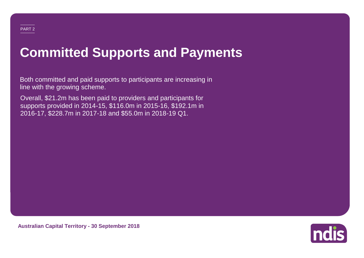# **Committed Supports and Payments**

Both committed and paid supports to participants are increasing in line with the growing scheme.

Overall, \$21.2m has been paid to providers and participants for supports provided in 2014-15, \$116.0m in 2015-16, \$192.1m in 2016-17, \$228.7m in 2017-18 and \$55.0m in 2018-19 Q1.



**Australian Capital Territory - 30 September 2018**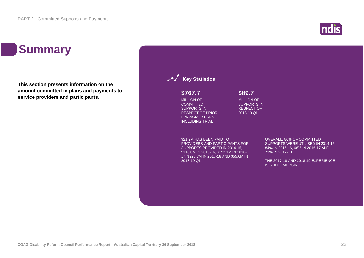# **Summary**

**This section presents information on the amount committed in plans and payments to service providers and participants.**

| \$767.7                                                                                                                                                                                | \$89.7                                                                     |                                                                                                                                 |
|----------------------------------------------------------------------------------------------------------------------------------------------------------------------------------------|----------------------------------------------------------------------------|---------------------------------------------------------------------------------------------------------------------------------|
| <b>MILLION OF</b><br><b>COMMITTED</b><br><b>SUPPORTS IN</b><br><b>RESPECT OF PRIOR</b><br><b>FINANCIAL YEARS</b><br><b>INCLUDING TRIAL</b>                                             | <b>MILLION OF</b><br><b>SUPPORTS IN</b><br><b>RESPECT OF</b><br>2018-19 Q1 |                                                                                                                                 |
| \$21.2M HAS BEEN PAID TO<br><b>PROVIDERS AND PARTICIPANTS FOR</b><br>SUPPORTS PROVIDED IN 2014-15.<br>\$116.0M IN 2015-16, \$192.1M IN 2016-<br>17, \$228.7M IN 2017-18 AND \$55.0M IN |                                                                            | <b>OVERALL, 80% OF COMMITTED</b><br>SUPPORTS WERE UTILISED IN 2014-15,<br>84% IN 2015-16, 68% IN 2016-17 AND<br>71% IN 2017-18. |
| 2018-19 Q1.                                                                                                                                                                            |                                                                            | THE 2017-18 AND 2018-19 EXPERIENCE<br><b>IS STILL EMERGING.</b>                                                                 |

ndis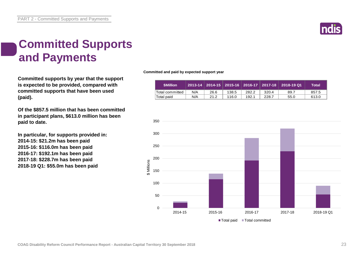

### **Committed Supports and Payments**

**Committed supports by year that the support is expected to be provided, compared with committed supports that have been used (paid).**

**Of the \$857.5 million that has been committed in participant plans, \$613.0 million has been paid to date.**

**In particular, for supports provided in: 2014-15: \$21.2m has been paid 2015-16: \$116.0m has been paid 2016-17: \$192.1m has been paid 2017-18: \$228.7m has been paid 2018-19 Q1: \$55.0m has been paid**

**Committed and paid by expected support year**

| <b>SMillion</b>  |     |      |       |       |       | _2013-14   2014-15   2015-16   2016-17   2017-18   2018-19 Q1 | Total |
|------------------|-----|------|-------|-------|-------|---------------------------------------------------------------|-------|
| 'Total committed | N/A | 26.6 | 138.5 | 282.2 | 320.4 | 89.7                                                          | 857.5 |
| ∣Total paid      | N/A | 21.2 | 116.0 | 192.1 | 228.7 | 55.0                                                          | 613.0 |

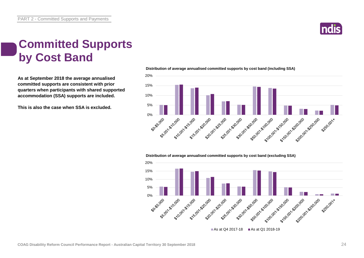

#### **Committed Supports by Cost Band**

**As at September 2018 the average annualised committed supports are consistent with prior quarters when participants with shared supported accommodation (SSA) supports are included.**

**This is also the case when SSA is excluded.**



#### **Distribution of average annualised committed supports by cost band (including SSA)**

**Distribution of average annualised committed supports by cost band (excluding SSA)** 

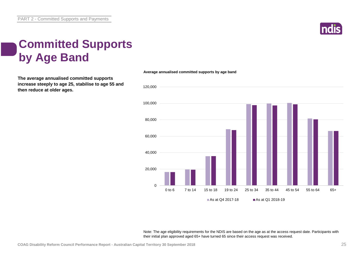

### **Committed Supports by Age Band**

**The average annualised committed supports increase steeply to age 25, stabilise to age 55 and then reduce at older ages.**



**Average annualised committed supports by age band**

Note: The age eligibility requirements for the NDIS are based on the age as at the access request date. Participants with their initial plan approved aged 65+ have turned 65 since their access request was received.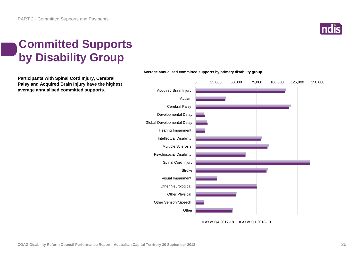

### **Committed Supports by Disability Group**

**Participants with Spinal Cord Injury, Cerebral Palsy and Acquired Brain Injury have the highest average annualised committed supports.**



#### **Average annualised committed supports by primary disability group**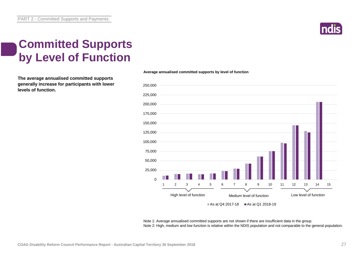

### **Committed Supports by Level of Function**

**The average annualised committed supports generally increase for participants with lower levels of function.**

#### $\Omega$ 25,000 50,000 75,000 100,000 125,000 150,000 175,000 200,000 225,000 250,000 High level of function<br>
High level of function<br>
Medium level of function<br>
Low level of function As at Q4 2017-18  $\blacksquare$  As at Q1 2018-19 1 2 3 4 5 6 7 8 9 10 11 12 13 14 15 High level of function Medium level of function Low level of function

**Average annualised committed supports by level of function**

Note 1: Average annualised committed supports are not shown if there are insufficient data in the group. Note 2: High, medium and low function is relative within the NDIS population and not comparable to the general population.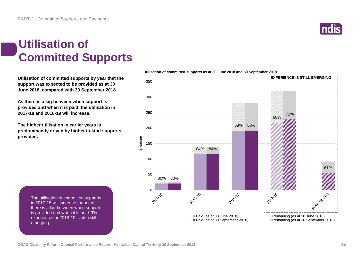**\$ Million**

### **Utilisation of Committed Supports**

**Utilisation of committed supports by year that the support was expected to be provided as at 30 June 2018, compared with 30 September 2018.** 

**As there is a lag between when support is provided and when it is paid, the utilisation in 2017-18 and 2018-19 will increase.** 

**The higher utilisation in earlier years is predominantly driven by higher in-kind supports provided.**

> The utilisation of committed supports in 2017-18 will increase further as there is a lag between when support is provided and when it is paid. The experience for 2018-19 is also still emerging.





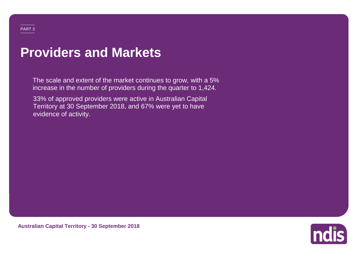# **Providers and Markets**

The scale and extent of the market continues to grow, with a 5% increase in the number of providers during the quarter to 1,424.

33% of approved providers were active in Australian Capital Territory at 30 September 2018, and 67% were yet to have evidence of activity.

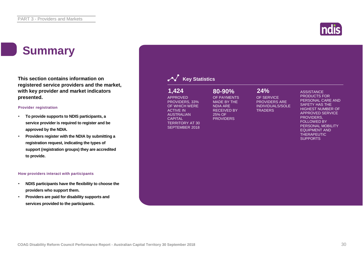### **Summary**

**This section contains information on registered service providers and the market, with key provider and market indicators presented.**

#### **Provider registration**

- **To provide supports to NDIS participants, a service provider is required to register and be approved by the NDIA.**
- **Providers register with the NDIA by submitting a registration request, indicating the types of support (registration groups) they are accredited to provide.**

#### **How providers interact with participants**

- **NDIS participants have the flexibility to choose the providers who support them.**
- **Providers are paid for disability supports and services provided to the participants.**

| 1,424<br><b>APPROVED</b><br>PROVIDERS, 33%<br>OF WHICH WERE<br><b>ACTIVE IN</b><br><b>AUSTRALIAN</b><br><b>CAPITAL</b><br><b>TERRITORY AT 30</b><br><b>SEPTEMBER 2018</b> | 80-90%<br>OF PAYMENTS<br><b>MADE BY THE</b><br><b>NDIA ARE</b><br><b>RECEIVED BY</b><br>25% OF<br><b>PROVIDERS</b> | 24%<br>OF SERVICE<br><b>PROVIDERS ARE</b><br><b>INDIVIDUALS/SOLE</b><br><b>TRADERS</b> | <b>ASSISTANCE</b><br><b>PRODUCTS FOR</b><br>PERSONAL CARE AND<br><b>SAFETY HAS THE</b><br><b>HIGHEST NUMBER OF</b><br><b>APPROVED SERVICE</b><br>PROVIDERS.<br><b>FOLLOWED BY</b><br>PERSONAL MOBILITY<br><b>EQUIPMENT AND</b><br><b>THERAPEUTIC</b><br><b>SUPPORTS</b> |
|---------------------------------------------------------------------------------------------------------------------------------------------------------------------------|--------------------------------------------------------------------------------------------------------------------|----------------------------------------------------------------------------------------|-------------------------------------------------------------------------------------------------------------------------------------------------------------------------------------------------------------------------------------------------------------------------|
|                                                                                                                                                                           |                                                                                                                    |                                                                                        |                                                                                                                                                                                                                                                                         |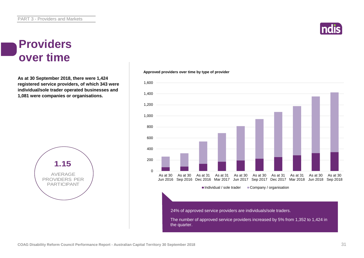#### **Providers over time**

**As at 30 September 2018, there were 1,424 registered service providers, of which 343 were individual/sole trader operated businesses and 1,081 were companies or organisations.**



#### **Approved providers over time by type of provider**



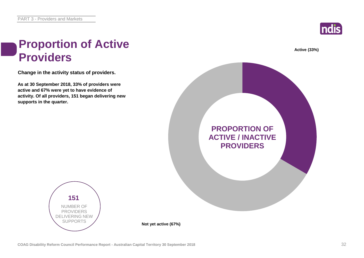**supports in the quarter.**

**Providers**



# **As at 30 September 2018, 33% of providers were active and 67% were yet to have evidence of activity. Of all providers, 151 began delivering new Change in the activity status of providers. Proportion of Active Active (33%) PROPORTION OF ACTIVE / INACTIVE PROVIDERS**



**Not yet active (67%)**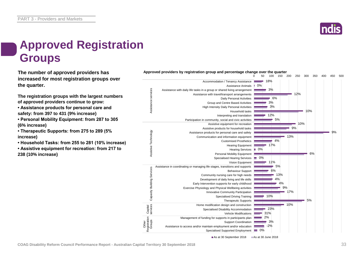

### **Approved Registration Groups**

**The number of approved providers has increased for most registration groups over the quarter.**

**The registration groups with the largest numbers of approved providers continue to grow:**

- **Assistance products for personal care and safety: from 397 to 431 (9% increase)**
- **Personal Mobility Equipment: from 287 to 305 (6% increase)**

**• Therapeutic Supports: from 275 to 289 (5% increase)**

- **Household Tasks: from 255 to 281 (10% increase)**
- **Assistive equipment for recreation: from 217 to 238 (10% increase)**



As at 30 September 2018 As at 30 June 2018

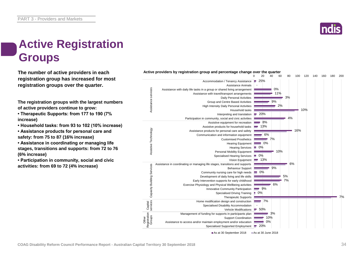

### **Active Registration Groups**

**The number of active providers in each registration group has increased for most registration groups over the quarter.**

**The registration groups with the largest numbers of active providers continue to grow:**

**• Therapeutic Supports: from 177 to 190 (7% increase)**

**• Household tasks: from 93 to 102 (10% increase)**

**• Assistance products for personal care and safety: from 75 to 87 (16% increase)**

**• Assistance in coordinating or managing life stages, transitions and supports: from 72 to 76 (6% increase)**

**• Participation in community, social and civic activities: from 69 to 72 (4% increase)**



As at 30 September 2018 As at 30 June 2018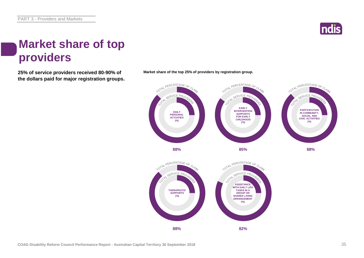

### **Market share of top providers**

**the dollars paid for major registration groups.**



**25% of service providers received 80-90% of Market share of the top 25% of providers by registration group.**

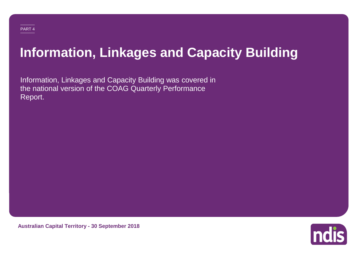# **Information, Linkages and Capacity Building**

Information, Linkages and Capacity Building was covered in the national version of the COAG Quarterly Performance Report.



**Australian Capital Territory - 30 September 2018**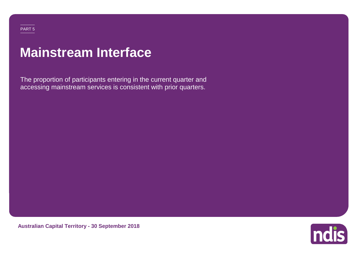#### PART 5

# **Mainstream Interface**

The proportion of participants entering in the current quarter and accessing mainstream services is consistent with prior quarters.



**Australian Capital Territory - 30 September 2018**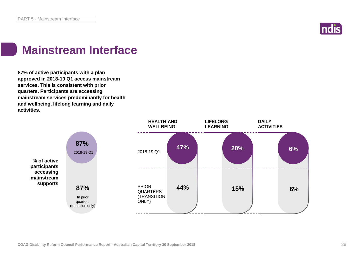

### **Mainstream Interface**

**87% of active participants with a plan approved in 2018-19 Q1 access mainstream services. This is consistent with prior quarters. Participants are accessing mainstream services predominantly for health and wellbeing, lifelong learning and daily activities.**